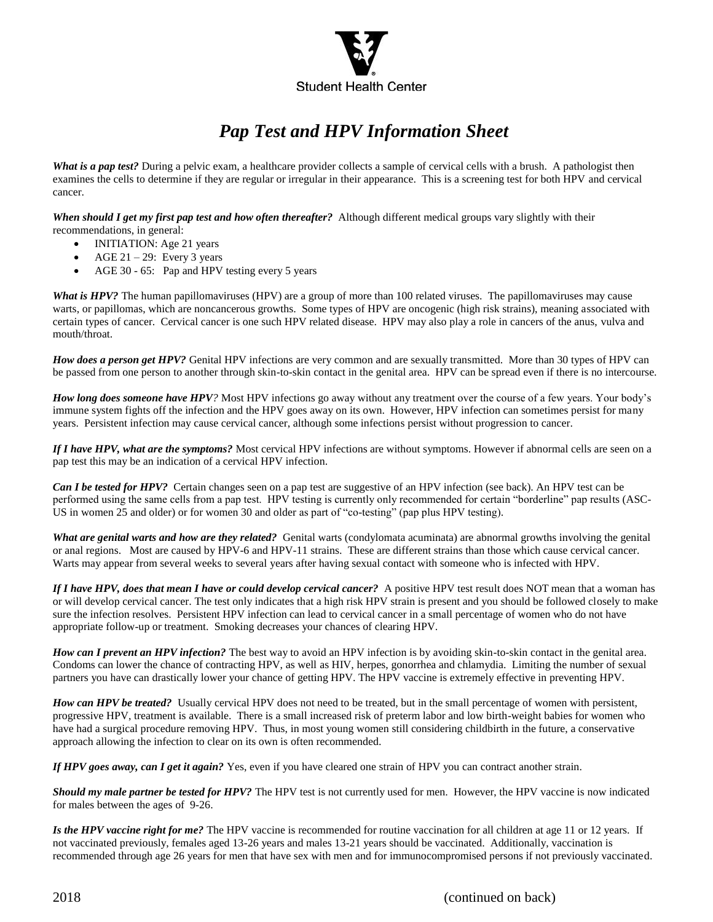

## *Pap Test and HPV Information Sheet*

*What is a pap test?* During a pelvic exam, a healthcare provider collects a sample of cervical cells with a brush. A pathologist then examines the cells to determine if they are regular or irregular in their appearance. This is a screening test for both HPV and cervical cancer.

When should I get my first pap test and how often thereafter? Although different medical groups vary slightly with their recommendations, in general:

- INITIATION: Age 21 years
- $\bullet$  AGE 21 29: Every 3 years
- AGE 30 65: Pap and HPV testing every 5 years

*What is HPV?* The human papillomaviruses (HPV) are a group of more than 100 related viruses. The papillomaviruses may cause warts, or papillomas, which are noncancerous growths. Some types of HPV are oncogenic (high risk strains), meaning associated with certain types of cancer. Cervical cancer is one such HPV related disease. HPV may also play a role in cancers of the anus, vulva and mouth/throat.

*How does a person get HPV?* Genital HPV infections are very common and are sexually transmitted. More than 30 types of HPV can be passed from one person to another through skin-to-skin contact in the genital area. HPV can be spread even if there is no intercourse.

*How long does someone have HPV?* Most HPV infections go away without any treatment over the course of a few years. Your body's immune system fights off the infection and the HPV goes away on its own. However, HPV infection can sometimes persist for many years. Persistent infection may cause cervical cancer, although some infections persist without progression to cancer.

*If I have HPV, what are the symptoms?* Most cervical HPV infections are without symptoms. However if abnormal cells are seen on a pap test this may be an indication of a cervical HPV infection.

*Can I be tested for HPV?* Certain changes seen on a pap test are suggestive of an HPV infection (see back). An HPV test can be performed using the same cells from a pap test. HPV testing is currently only recommended for certain "borderline" pap results (ASC-US in women 25 and older) or for women 30 and older as part of "co-testing" (pap plus HPV testing).

*What are genital warts and how are they related?* Genital warts (condylomata acuminata) are abnormal growths involving the genital or anal regions. Most are caused by HPV-6 and HPV-11 strains. These are different strains than those which cause cervical cancer. Warts may appear from several weeks to several years after having sexual contact with someone who is infected with HPV.

*If I have HPV, does that mean I have or could develop cervical cancer?* A positive HPV test result does NOT mean that a woman has or will develop cervical cancer. The test only indicates that a high risk HPV strain is present and you should be followed closely to make sure the infection resolves. Persistent HPV infection can lead to cervical cancer in a small percentage of women who do not have appropriate follow-up or treatment. Smoking decreases your chances of clearing HPV.

*How can I prevent an HPV infection?* The best way to avoid an HPV infection is by avoiding skin-to-skin contact in the genital area. Condoms can lower the chance of contracting HPV, as well as HIV, herpes, gonorrhea and chlamydia. Limiting the number of sexual partners you have can drastically lower your chance of getting HPV. The HPV vaccine is extremely effective in preventing HPV.

*How can HPV be treated?* Usually cervical HPV does not need to be treated, but in the small percentage of women with persistent, progressive HPV, treatment is available. There is a small increased risk of preterm labor and low birth-weight babies for women who have had a surgical procedure removing HPV. Thus, in most young women still considering childbirth in the future, a conservative approach allowing the infection to clear on its own is often recommended.

*If HPV goes away, can I get it again?* Yes, even if you have cleared one strain of HPV you can contract another strain.

*Should my male partner be tested for HPV?* The HPV test is not currently used for men. However, the HPV vaccine is now indicated for males between the ages of 9-26.

*Is the HPV vaccine right for me?* The HPV vaccine is recommended for routine vaccination for all children at age 11 or 12 years. If not vaccinated previously, females aged 13-26 years and males 13-21 years should be vaccinated. Additionally, vaccination is recommended through age 26 years for men that have sex with men and for immunocompromised persons if not previously vaccinated.